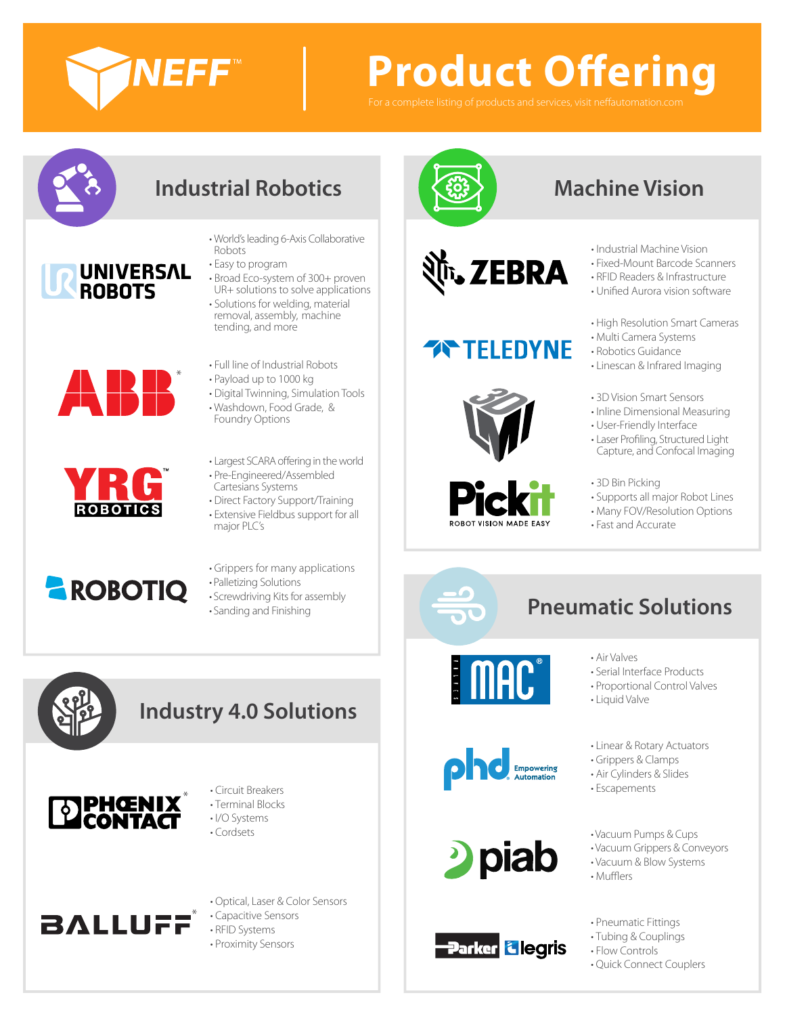

# **Product Offering**

For a complete listing of products and services, visit neffautomation.co



# **Industrial Robotics Machine Vision**

- World's leading 6-Axis Collaborative Robots
- Easy to program
- Broad Eco-system of 300+ proven UR+ solutions to solve applications
- Solutions for welding, material removal, assembly, machine tending, and more
- \* A  $\mathbb H$

UNIVERSAL<br>ROBOTS

- **ROBOTICS**
- **AROBOTIQ**
- Full line of Industrial Robots • Payload up to 1000 kg • Digital Twinning, Simulation Tools
	- Washdown, Food Grade, & Foundry Options
		- Largest SCARA offering in the world
	- Pre-Engineered/Assembled Cartesians Systems
	- Direct Factory Support/Training • Extensive Fieldbus support for all
	- major PLC's
	- Grippers for many applications
	- Palletizing Solutions
	- Screwdriving Kits for assembly



## **Industry 4.0 Solutions**



- Circuit Breakers • Terminal Blocks
- I/O Systems
- Cordsets
- 3ALLUFF<sup>\*</sup>
- Optical, Laser & Color Sensors • Capacitive Sensors • RFID Systems • Proximity Sensors





# **TELEDYNE**





- Industrial Machine Vision
- Fixed-Mount Barcode Scanners
- RFID Readers & Infrastructure
- Unified Aurora vision software
- High Resolution Smart Cameras
- Multi Camera Systems
- Robotics Guidance
- Linescan & Infrared Imaging
- 3D Vision Smart Sensors
- Inline Dimensional Measuring
- User-Friendly Interface
- Laser Profiling, Structured Light Capture, and Confocal Imaging
- 3D Bin Picking
- Supports all major Robot Lines
- Many FOV/Resolution Options
- Fast and Accurate



# • Screwariving Kits for assembly<br>• Sanding and Finishing **Pneumatic Solutions**



- Air Valves
	- Serial Interface Products
	- Proportional Control Valves
	- Liquid Valve





**Parker <mark>& legris</mark>** 

- Linear & Rotary Actuators
- Grippers & Clamps
- Air Cylinders & Slides
- Escapements
- Vacuum Pumps & Cups
- Vacuum Grippers & Conveyors
- Vacuum & Blow Systems
- Mufflers
- Pneumatic Fittings
- Tubing & Couplings
- Flow Controls
- Quick Connect Couplers